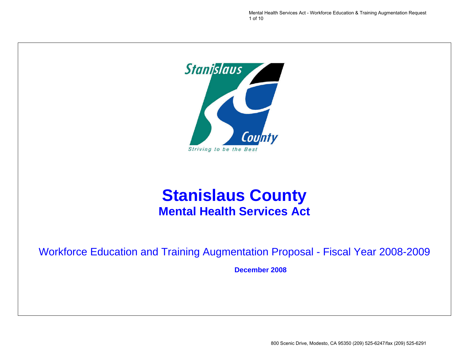Mental Health Services Act - Workforce Education & Training Augmentation Request 1 of 10



# **Stanislaus County Mental Health Services Act**

## Workforce Education and Training Augmentation Proposal - Fiscal Year 2008-2009

**December 2008**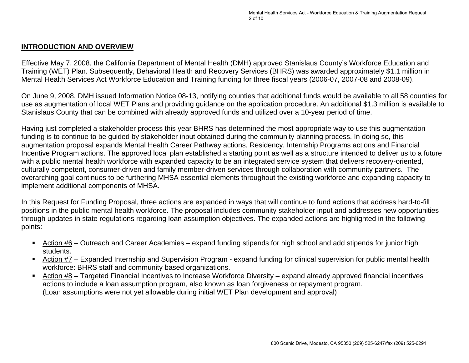#### **INTRODUCTION AND OVERVIEW**

Effective May 7, 2008, the California Department of Mental Health (DMH) approved Stanislaus County's Workforce Education and Training (WET) Plan. Subsequently, Behavioral Health and Recovery Services (BHRS) was awarded approximately \$1.1 million in Mental Health Services Act Workforce Education and Training funding for three fiscal years (2006-07, 2007-08 and 2008-09).

On June 9, 2008, DMH issued Information Notice 08-13, notifying counties that additional funds would be available to all 58 counties for use as augmentation of local WET Plans and providing guidance on the application procedure. An additional \$1.3 million is available to Stanislaus County that can be combined with already approved funds and utilized over a 10-year period of time.

Having just completed a stakeholder process this year BHRS has determined the most appropriate way to use this augmentation funding is to continue to be guided by stakeholder input obtained during the community planning process. In doing so, this augmentation proposal expands Mental Health Career Pathway actions, Residency, Internship Programs actions and Financial Incentive Program actions. The approved local plan established a starting point as well as a structure intended to deliver us to a future with a public mental health workforce with expanded capacity to be an integrated service system that delivers recovery-oriented, culturally competent, consumer-driven and family member-driven services through collaboration with community partners. The overarching goal continues to be furthering MHSA essential elements throughout the existing workforce and expanding capacity to implement additional components of MHSA.

In this Request for Funding Proposal, three actions are expanded in ways that will continue to fund actions that address hard-to-fill positions in the public mental health workforce. The proposal includes community stakeholder input and addresses new opportunities through updates in state regulations regarding loan assumption objectives. The expanded actions are highlighted in the following points:

- Action #6 Outreach and Career Academies expand funding stipends for high school and add stipends for junior high students.
- Action #7 Expanded Internship and Supervision Program expand funding for clinical supervision for public mental health workforce: BHRS staff and community based organizations.
- Action #8 Targeted Financial Incentives to Increase Workforce Diversity expand already approved financial incentives actions to include a loan assumption program, also known as loan forgiveness or repayment program. (Loan assumptions were not yet allowable during initial WET Plan development and approval)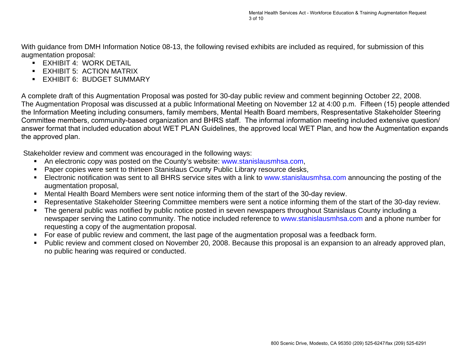With guidance from DMH Information Notice 08-13, the following revised exhibits are included as required, for submission of this augmentation proposal:

- **EXHIBIT 4: WORK DETAIL**
- **EXHIBIT 5: ACTION MATRIX**
- **EXHIBIT 6: BUDGET SUMMARY**

A complete draft of this Augmentation Proposal was posted for 30-day public review and comment beginning October 22, 2008. The Augmentation Proposal was discussed at a public Informational Meeting on November 12 at 4:00 p.m. Fifteen (15) people attended the Information Meeting including consumers, family members, Mental Health Board members, Respresentative Stakeholder Steering Committee members, community-based organization and BHRS staff. The informal information meeting included extensive question/ answer format that included education about WET PLAN Guidelines, the a[pp](http://www.stanislausmhsa.com/)roved local WET Plan, and how the Augmentation expands the approved plan.

Stakeholder review and comment was encouraged in the following ways:

- An electronic copy was posted on the County's website: www.stanislausmhsa.com,
- **Paper copies were sent to thirteen Stanislaus County Public Library resource desks,**
- Electronic notification was sent to all BHRS service sites with a link to www.stanislausmhsa.com announcing the posting of the augmentation proposal,
- Mental Health Board Members were sent notice informing them of the start [of the 30-day review.](http://www.stanislausmhsa.com/)
- Representative Stakeholder Steering Committee members were sent a notice informing them of the start of the 30-day review.
- The general public was notified by public notice posted in seven newspapers throughout Stanislaus County including a newspaper serving the Latino community. The notice included reference to www.stanislausmhsa.com and a phone number for requesting a copy of the augmentation proposal.
- For ease of public review and comment, the last page of the augmentation proposal was a feedback form.
- Public review and comment closed on November 20, 2008. Because this proposal is an expansion to an already approved plan, no public hearing was required or conducted.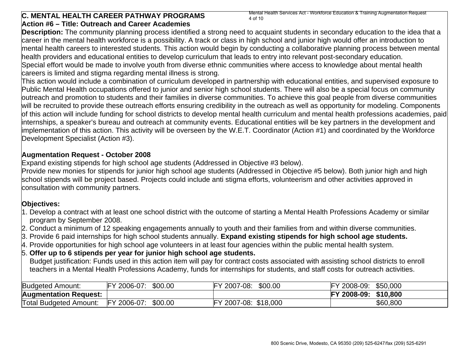#### **C. MENTAL HEALTH CAREER PATHWAY PROGRAMS Action #6 – Title: Outreach and Career Academies**

Mental Health Services Act - Workforce Education & Training Augmentation Request 4 of 10

**Description:** The community planning process identified a strong need to acquaint students in secondary education to the idea that a career in the mental health workforce is a possibility. A track or class in high school and junior high would offer an introduction to mental health careers to interested students. This action would begin by conducting a collaborative planning process between mental health providers and educational entities to develop curriculum that leads to entry into relevant post-secondary education. Special effort would be made to involve youth from diverse ethnic communities where access to knowledge about mental health careers is limited and stigma regarding mental illness is strong.

This action would include a combination of curriculum developed in partnership with educational entities, and supervised exposure to Public Mental Health occupations offered to junior and senior high school students. There will also be a special focus on community outreach and promotion to students and their families in diverse communities. To achieve this goal people from diverse communities will be recruited to provide these outreach efforts ensuring credibility in the outreach as well as opportunity for modeling. Components of this action will include funding for school districts to develop mental health curriculum and mental health professions academies, paid internships, a speaker's bureau and outreach at community events. Educational entities will be key partners in the development and implementation of this action. This activity will be overseen by the W.E.T. Coordinator (Action #1) and coordinated by the Workforce Development Specialist (Action #3).

#### **Augmentation Request - October 2008**

Expand existing stipends for high school age students (Addressed in Objective #3 below).

Provide new monies for stipends for junior high school age students (Addressed in Objective #5 below). Both junior high and high school stipends will be project based. Projects could include anti stigma efforts, volunteerism and other activities approved in consultation with community partners.

#### **Objectives:**

- 1. Develop a contract with at least one school district with the outcome of starting a Mental Health Professions Academy or similar program by September 2008.
- 2. Conduct a minimum of 12 speaking engagements annually to youth and their families from and within diverse communities.
- 3. Provide 6 paid internships for high school students annually. **Expand existing stipends for high school age students.**
- 4. Provide opportunities for high school age volunteers in at least four agencies within the public mental health system.

#### 5. **Offer up to 6 stipends per year for junior high school age students.**

Budget justification: Funds used in this action item will pay for contract costs associated with assisting school districts to enroll teachers in a Mental Health Professions Academy, funds for internships for students, and staff costs for outreach activities.

| <b>Budgeted Amount:</b>       | FY 2006-07:      | \$00.00 | 2007-08:<br>∼  | \$00.00  | 2008-09:<br>rv | \$50,000 |
|-------------------------------|------------------|---------|----------------|----------|----------------|----------|
| <b>Augmentation Request:</b>  |                  |         |                |          | 2008-09:       | \$10,800 |
| <b>Total Budgeted Amount:</b> | 2006-07:<br>IEV. | \$00.00 | 2007-08:<br>гv | \$18,000 |                | \$60,800 |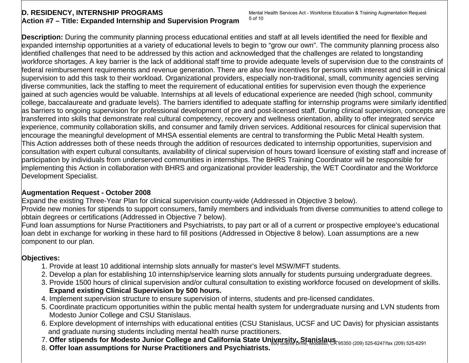#### **D. RESIDENCY, INTERNSHIP PROGRAMS Action #7 – Title: Expanded Internship and Supervision Program**

**Description:** During the community planning process educational entities and staff at all levels identified the need for flexible and expanded internship opportunities at a variety of educational levels to begin to "grow our own". The community planning process also identified challenges that need to be addressed by this action and acknowledged that the challenges are related to longstanding workforce shortages. A key barrier is the lack of additional staff time to provide adequate levels of supervision due to the constraints of federal reimbursement requirements and revenue generation. There are also few incentives for persons with interest and skill in clinical supervision to add this task to their workload. Organizational providers, especially non-traditional, small, community agencies serving diverse communities, lack the staffing to meet the requirement of educational entities for supervision even though the experience gained at such agencies would be valuable. Internships at all levels of educational experience are needed (high school, community college, baccalaureate and graduate levels). The barriers identified to adequate staffing for internship programs were similarly identified as barriers to ongoing supervision for professional development of pre and post-licensed staff. During clinical supervision, concepts are transferred into skills that demonstrate real cultural competency, recovery and wellness orientation, ability to offer integrated service experience, community collaboration skills, and consumer and family driven services. Additional resources for clinical supervision that encourage the meaningful development of MHSA essential elements are central to transforming the Public Metal Health system. This Action addresses both of these needs through the addition of resources dedicated to internship opportunities, supervision and consultation with expert cultural consultants, availability of clinical supervision of hours toward licensure of existing staff and increase of participation by individuals from underserved communities in internships. The BHRS Training Coordinator will be responsible for implementing this Action in collaboration with BHRS and organizational provider leadership, the WET Coordinator and the Workforce Development Specialist.

### **Augmentation Request - October 2008**

Expand the existing Three-Year Plan for clinical supervision county-wide (Addressed in Objective 3 below).

Provide new monies for stipends to support consumers, family members and individuals from diverse communities to attend college to obtain degrees or certifications (Addressed in Objective 7 below).

Fund loan assumptions for Nurse Practitioners and Psychiatrists, to pay part or all of a current or prospective employee's educational loan debt in exchange for working in these hard to fill positions (Addressed in Objective 8 below). Loan assumptions are a new component to our plan.

## **Objectives:**

- 1. Provide at least 10 additional internship slots annually for master's level MSW/MFT students.
- 2. Develop a plan for establishing 10 internship/service learning slots annually for students pursuing undergraduate degrees.
- 3. Provide 1500 hours of clinical supervision and/or cultural consultation to existing workforce focused on development of skills.  **Expand existing Clinical Supervision by 500 hours.**
- 4. Implement supervision structure to ensure supervision of interns, students and pre-licensed candidates.
- 5. Coordinate practicum opportunities within the public mental health system for undergraduate nursing and LVN students from Modesto Junior College and CSU Stanislaus.
- 6. Explore development of internships with educational entities (CSU Stanislaus, UCSF and UC Davis) for physician assistants and graduate nursing students including mental health nurse practitioners.
- 7. Offer stipends for Modesto Junior College and California State University, Stanislaus.<br>Ca. 2009 525-6247/fax (209) 525-6291
	- 8. **Offer loan assumptions for Nurse Practitioners and Psychiatrists.**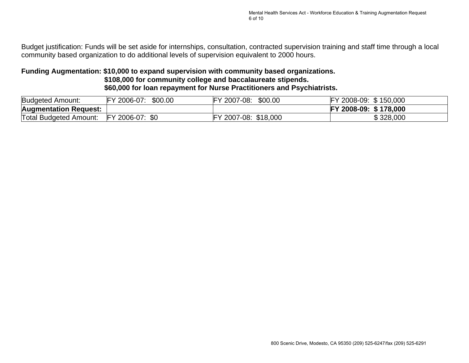Budget justification: Funds will be set aside for internships, consultation, contracted supervision training and staff time through a local community based organization to do additional levels of supervision equivalent to 2000 hours.

#### **Funding Augmentation: \$10,000 to expand supervision with community based organizations. \$108,000 for community college and baccalaureate stipends. \$60,000 for loan repayment for Nurse Practitioners and Psychiatrists.**

| <b>Budgeted Amount:</b>       | \$00.00<br>2006-07:          | \$00.00<br>2007-08:<br>ΈY       | \$150,000<br>2008-09:           |
|-------------------------------|------------------------------|---------------------------------|---------------------------------|
| <b>Augmentation Request:</b>  |                              |                                 | \$178,000<br><b>FY 2008-09:</b> |
| <b>Total Budgeted Amount:</b> | \$0<br>2006-07:<br><b>FY</b> | \$18,000<br>$2007 - 08$ :<br>cv | \$328,000                       |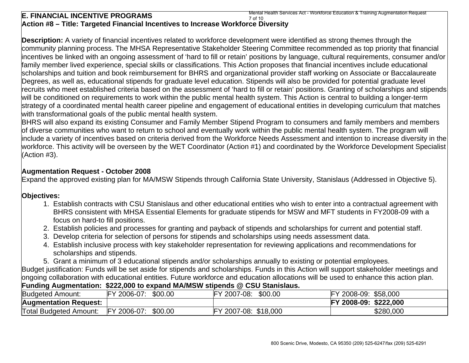#### **E. FINANCIAL INCENTIVE PROGRAMS Action #8 – Title: Targeted Financial Incentives to Increase Workforce Diversity**  7 of 10 Mental Health Services Act - Workforce Education & Training Augmentation Request

**Description:** A variety of financial incentives related to workforce development were identified as strong themes through the community planning process. The MHSA Representative Stakeholder Steering Committee recommended as top priority that financial incentives be linked with an ongoing assessment of 'hard to fill or retain' positions by language, cultural requirements, consumer and/or family member lived experience, special skills or classifications. This Action proposes that financial incentives include educational scholarships and tuition and book reimbursement for BHRS and organizational provider staff working on Associate or Baccalaureate Degrees, as well as, educational stipends for graduate level education. Stipends will also be provided for potential graduate level recruits who meet established criteria based on the assessment of 'hard to fill or retain' positions. Granting of scholarships and stipends will be conditioned on requirements to work within the public mental health system. This Action is central to building a longer-term strategy of a coordinated mental health career pipeline and engagement of educational entities in developing curriculum that matches with transformational goals of the public mental health system.

BHRS will also expand its existing Consumer and Family Member Stipend Program to consumers and family members and members of diverse communities who want to return to school and eventually work within the public mental health system. The program will include a variety of incentives based on criteria derived from the Workforce Needs Assessment and intention to increase diversity in the workforce. This activity will be overseen by the WET Coordinator (Action #1) and coordinated by the Workforce Development Specialist (Action #3).

#### **Augmentation Request - October 2008**

Expand the approved existing plan for MA/MSW Stipends through California State University, Stanislaus (Addressed in Objective 5).

#### **Objectives:**

- 1. Establish contracts with CSU Stanislaus and other educational entities who wish to enter into a contractual agreement with BHRS consistent with MHSA Essential Elements for graduate stipends for MSW and MFT students in FY2008-09 with a focus on hard-to fill positions.
- 2. Establish policies and processes for granting and payback of stipends and scholarships for current and potential staff.
- 3. Develop criteria for selection of persons for stipends and scholarships using needs assessment data.
- 4. Establish inclusive process with key stakeholder representation for reviewing applications and recommendations for scholarships and stipends.
- 5. Grant a minimum of 3 educational stipends and/or scholarships annually to existing or potential employees.

Budget justification: Funds will be set aside for stipends and scholarships. Funds in this Action will support stakeholder meetings and ongoing collaboration with educational entities. Future workforce and education allocations will be used to enhance this action plan. **Funding Augmentation: \$222,000 to expand MA/MSW stipends @ CSU Stanislaus.** 

| <b>Budgeted Amount:</b>       | FY 2006-07:                | \$00.00 | $\mathbf{u}$<br>\$00.00<br>2007<br>7-08: | \$58,000<br>2008-09:        |
|-------------------------------|----------------------------|---------|------------------------------------------|-----------------------------|
| <b>Augmentation Request:</b>  |                            |         |                                          | 2008-09:<br>\$222,000<br>EV |
| <b>Total Budgeted Amount:</b> | $'$ 2006-07:<br><b>IFY</b> | \$00.00 | $\mathcal{L}$<br>\$18,000<br>2007-08:    | \$280,000                   |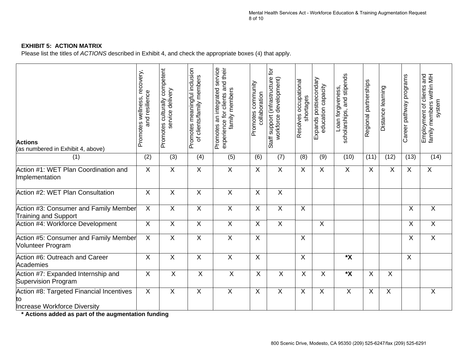#### **EXHIBIT 5: ACTION MATRIX**

Please list the titles of *ACTIONS* described in Exhibit 4, and check the appropriate boxes (4) that apply.

| <b>Actions</b><br>(as numbered in Exhibit 4, above)                             | Promotes wellness, recovery,<br>and resilience | culturally competent<br>service delivery<br>Promotes | Promotes meaningful inclusion<br>of clients/family members | Promotes an integrated service<br>experience for clients and their<br>family members | Promotes community<br>collaboration | ð<br>Staff support (infrastructure<br>workforce development) | Resolves occupational<br>shortages | Expands postsecondary<br>education capacity | scholarships, and stipends<br>Loan forgiveness, | Regional partnerships | Distance learning | Career pathway programs | Employment of clients and<br>family members within MH<br>system |
|---------------------------------------------------------------------------------|------------------------------------------------|------------------------------------------------------|------------------------------------------------------------|--------------------------------------------------------------------------------------|-------------------------------------|--------------------------------------------------------------|------------------------------------|---------------------------------------------|-------------------------------------------------|-----------------------|-------------------|-------------------------|-----------------------------------------------------------------|
| (1)                                                                             | (2)                                            | (3)                                                  | (4)                                                        | (5)                                                                                  | (6)                                 | (7)                                                          | (8)                                | (9)                                         | (10)                                            | (11)                  | (12)              | (13)                    | (14)                                                            |
| Action #1: WET Plan Coordination and<br>Implementation                          | X                                              | X                                                    | $\sf X$                                                    | $\sf X$                                                                              | X                                   | $\overline{X}$                                               | X                                  | X                                           | X                                               | X                     | X                 | X                       | $\sf X$                                                         |
| Action #2: WET Plan Consultation                                                | $\sf X$                                        | X                                                    | X                                                          | $\sf X$                                                                              | X                                   | $\overline{X}$                                               |                                    |                                             |                                                 |                       |                   |                         |                                                                 |
| Action #3: Consumer and Family Member<br><b>Training and Support</b>            | X                                              | X                                                    | X                                                          | $\sf X$                                                                              | X                                   | X                                                            | X                                  |                                             |                                                 |                       |                   | X                       | $\boldsymbol{\mathsf{X}}$                                       |
| Action #4: Workforce Development                                                | $\boldsymbol{\mathsf{X}}$                      | X                                                    | X                                                          | $\overline{X}$                                                                       | X                                   | $\boldsymbol{\mathsf{X}}$                                    |                                    | X                                           |                                                 |                       |                   | X                       | X                                                               |
| Action #5: Consumer and Family Member<br><b>Volunteer Program</b>               | $\overline{\mathsf{x}}$                        | $\overline{\mathsf{X}}$                              | $\overline{\mathsf{X}}$                                    | $\overline{\mathsf{X}}$                                                              | $\overline{X}$                      |                                                              | $\overline{\mathsf{x}}$            |                                             |                                                 |                       |                   | $\overline{\mathsf{X}}$ | $\overline{\mathsf{X}}$                                         |
| Action #6: Outreach and Career<br>Academies                                     | X                                              | X                                                    | X                                                          | $\overline{X}$                                                                       | X                                   |                                                              | $\sf X$                            |                                             | $*{\bf x}$                                      |                       |                   | X                       |                                                                 |
| Action #7: Expanded Internship and<br>Supervision Program                       | X                                              | X                                                    | X                                                          | X                                                                                    | X                                   | X                                                            | X                                  | $\sf X$                                     | $\mathbf{x}$                                    | X                     | $\sf X$           |                         |                                                                 |
| Action #8: Targeted Financial Incentives<br>ļtο<br>Increase Workforce Diversity | X                                              | X                                                    | X                                                          | X                                                                                    | X                                   | X                                                            | X                                  | X                                           | X                                               | X                     | X                 |                         | X                                                               |

**\* Actions added as part of the augmentation funding**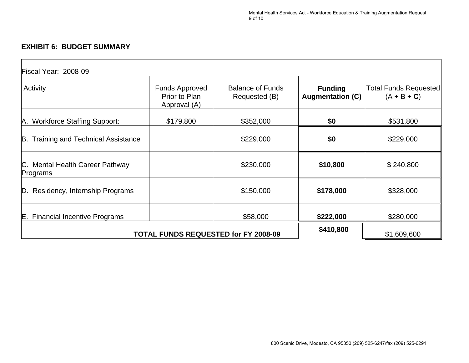#### **EXHIBIT 6: BUDGET SUMMARY**

| Fiscal Year: 2008-09                        |                                                        |                                          |                                           |                                               |  |
|---------------------------------------------|--------------------------------------------------------|------------------------------------------|-------------------------------------------|-----------------------------------------------|--|
| Activity                                    | <b>Funds Approved</b><br>Prior to Plan<br>Approval (A) | <b>Balance of Funds</b><br>Requested (B) | <b>Funding</b><br><b>Augmentation (C)</b> | <b>Total Funds Requested</b><br>$(A + B + C)$ |  |
| A. Workforce Staffing Support:              | \$179,800                                              | \$352,000                                | \$0                                       | \$531,800                                     |  |
| B. Training and Technical Assistance        |                                                        | \$229,000                                | \$0                                       | \$229,000                                     |  |
| C. Mental Health Career Pathway<br>Programs |                                                        | \$230,000                                | \$10,800                                  | \$240,800                                     |  |
| D. Residency, Internship Programs           |                                                        | \$150,000                                | \$178,000                                 | \$328,000                                     |  |
| E. Financial Incentive Programs             |                                                        | \$58,000                                 | \$222,000                                 | \$280,000                                     |  |
| <b>TOTAL FUNDS REQUESTED for FY 2008-09</b> | \$410,800                                              | \$1,609,600                              |                                           |                                               |  |